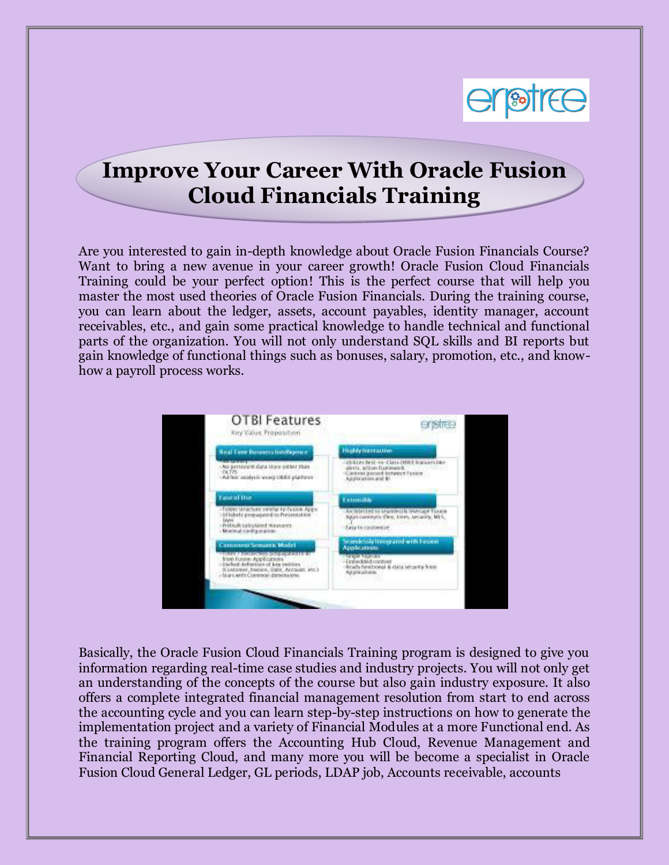

## **Improve Your Career With Oracle Fusion Cloud Financials Training**

Are you interested to gain in-depth knowledge about Oracle Fusion Financials Course? Want to bring a new avenue in your career growth! Oracle Fusion Cloud Financials Training could be your perfect option! This is the perfect course that will help you master the most used theories of Oracle Fusion Financials. During the training course, you can learn about the ledger, assets, account payables, identity manager, account receivables, etc., and gain some practical knowledge to handle technical and functional parts of the organization. You will not only understand SQL skills and BI reports but gain knowledge of functional things such as bonuses, salary, promotion, etc., and knowhow a payroll process works.



Basically, the Oracle Fusion Cloud Financials Training program is designed to give you information regarding real-time case studies and industry projects. You will not only get an understanding of the concepts of the course but also gain industry exposure. It also offers a complete integrated financial management resolution from start to end across the accounting cycle and you can learn step-by-step instructions on how to generate the implementation project and a variety of Financial Modules at a more Functional end. As the training program offers the Accounting Hub Cloud, Revenue Management and Financial Reporting Cloud, and many more you will be become a specialist in Oracle Fusion Cloud General Ledger, GL periods, LDAP job, Accounts receivable, accounts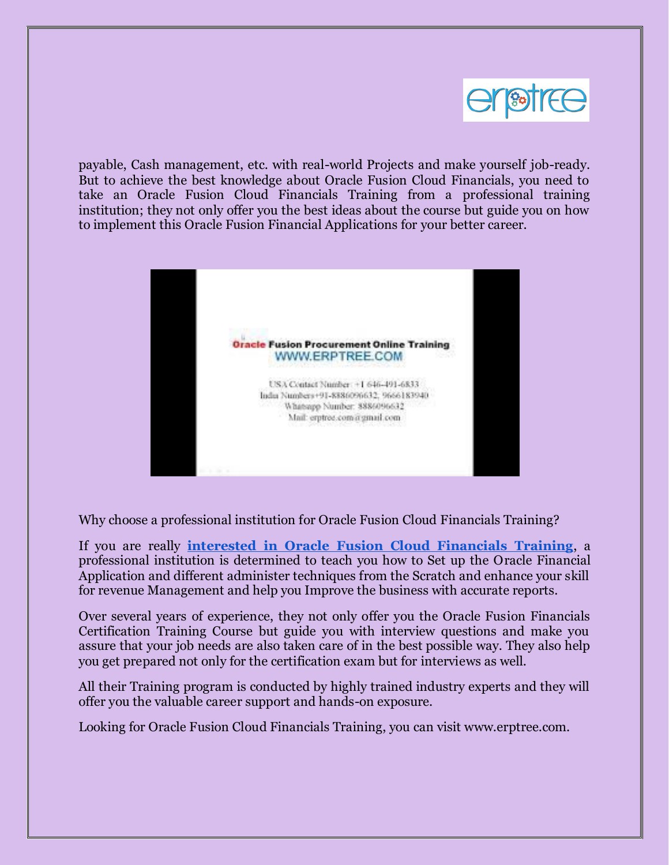

payable, Cash management, etc. with real-world Projects and make yourself job-ready. But to achieve the best knowledge about Oracle Fusion Cloud Financials, you need to take an Oracle Fusion Cloud Financials Training from a professional training institution; they not only offer you the best ideas about the course but guide you on how to implement this Oracle Fusion Financial Applications for your better career.



Why choose a professional institution for Oracle Fusion Cloud Financials Training?

If you are really **[interested in Oracle Fusion Cloud Financials Training](https://www.erptree.com/course/oracle-fusion-cloud-financials-training/)**, a professional institution is determined to teach you how to Set up the Oracle Financial Application and different administer techniques from the Scratch and enhance your skill for revenue Management and help you Improve the business with accurate reports.

Over several years of experience, they not only offer you the Oracle Fusion Financials Certification Training Course but guide you with interview questions and make you assure that your job needs are also taken care of in the best possible way. They also help you get prepared not only for the certification exam but for interviews as well.

All their Training program is conducted by highly trained industry experts and they will offer you the valuable career support and hands-on exposure.

Looking for Oracle Fusion Cloud Financials Training, you can visit www.erptree.com.